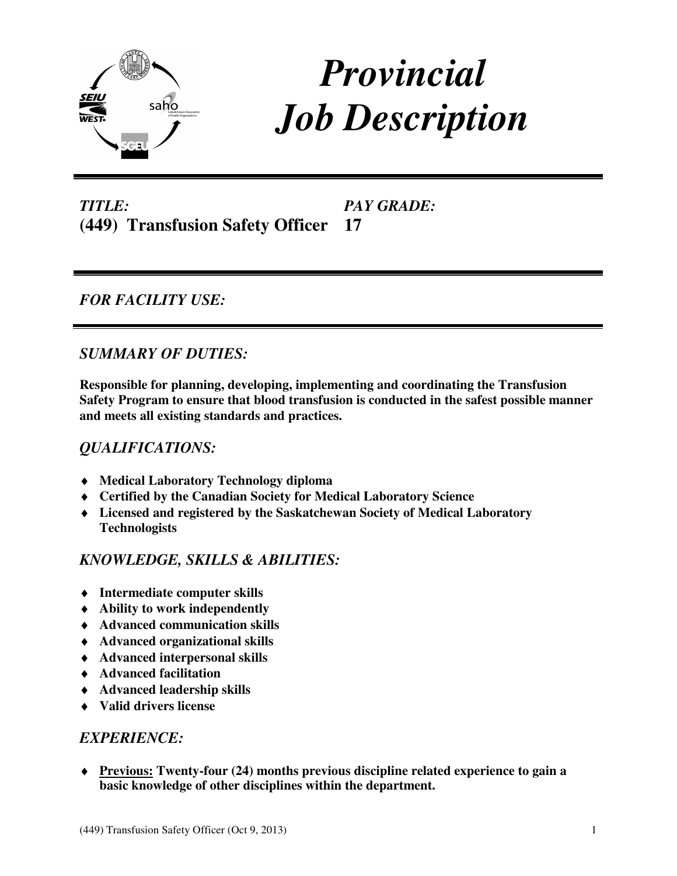

# *Provincial Job Description*

*TITLE:*  **(449) Transfusion Safety Officer 17** 

*PAY GRADE:* 

# *FOR FACILITY USE:*

# *SUMMARY OF DUTIES:*

**Responsible for planning, developing, implementing and coordinating the Transfusion Safety Program to ensure that blood transfusion is conducted in the safest possible manner and meets all existing standards and practices.** 

# *QUALIFICATIONS:*

- ♦ **Medical Laboratory Technology diploma**
- ♦ **Certified by the Canadian Society for Medical Laboratory Science**
- ♦ **Licensed and registered by the Saskatchewan Society of Medical Laboratory Technologists**

## *KNOWLEDGE, SKILLS & ABILITIES:*

- ♦ **Intermediate computer skills**
- ♦ **Ability to work independently**
- ♦ **Advanced communication skills**
- ♦ **Advanced organizational skills**
- ♦ **Advanced interpersonal skills**
- ♦ **Advanced facilitation**
- ♦ **Advanced leadership skills**
- ♦ **Valid drivers license**

## *EXPERIENCE:*

♦ **Previous: Twenty-four (24) months previous discipline related experience to gain a basic knowledge of other disciplines within the department.**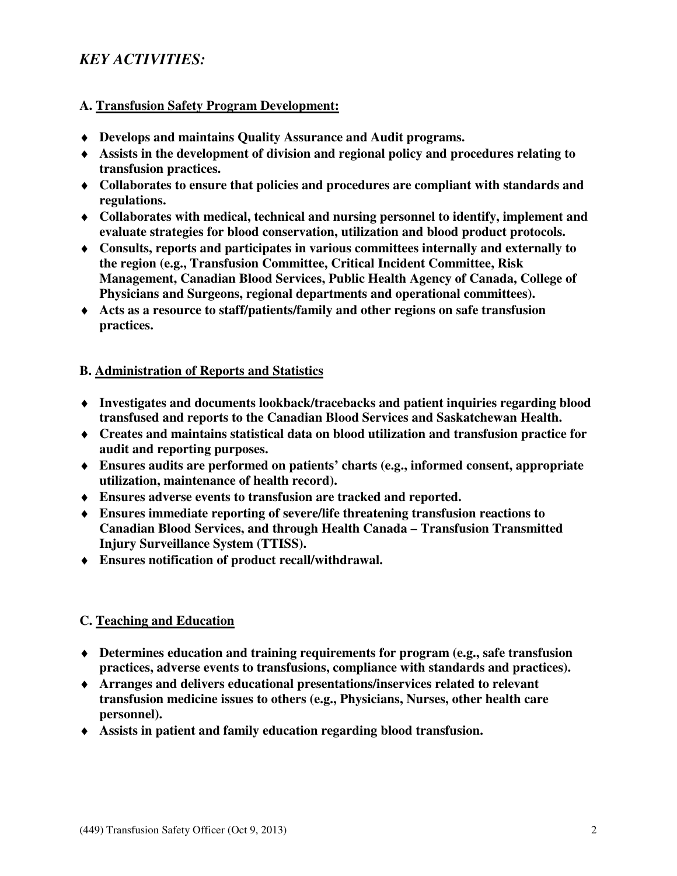# *KEY ACTIVITIES:*

### **A. Transfusion Safety Program Development:**

- ♦ **Develops and maintains Quality Assurance and Audit programs.**
- ♦ **Assists in the development of division and regional policy and procedures relating to transfusion practices.**
- ♦ **Collaborates to ensure that policies and procedures are compliant with standards and regulations.**
- ♦ **Collaborates with medical, technical and nursing personnel to identify, implement and evaluate strategies for blood conservation, utilization and blood product protocols.**
- ♦ **Consults, reports and participates in various committees internally and externally to the region (e.g., Transfusion Committee, Critical Incident Committee, Risk Management, Canadian Blood Services, Public Health Agency of Canada, College of Physicians and Surgeons, regional departments and operational committees).**
- ♦ **Acts as a resource to staff/patients/family and other regions on safe transfusion practices.**

#### **B. Administration of Reports and Statistics**

- ♦ **Investigates and documents lookback/tracebacks and patient inquiries regarding blood transfused and reports to the Canadian Blood Services and Saskatchewan Health.**
- ♦ **Creates and maintains statistical data on blood utilization and transfusion practice for audit and reporting purposes.**
- ♦ **Ensures audits are performed on patients' charts (e.g., informed consent, appropriate utilization, maintenance of health record).**
- ♦ **Ensures adverse events to transfusion are tracked and reported.**
- ♦ **Ensures immediate reporting of severe/life threatening transfusion reactions to Canadian Blood Services, and through Health Canada – Transfusion Transmitted Injury Surveillance System (TTISS).**
- ♦ **Ensures notification of product recall/withdrawal.**

## **C. Teaching and Education**

- ♦ **Determines education and training requirements for program (e.g., safe transfusion practices, adverse events to transfusions, compliance with standards and practices).**
- ♦ **Arranges and delivers educational presentations/inservices related to relevant transfusion medicine issues to others (e.g., Physicians, Nurses, other health care personnel).**
- ♦ **Assists in patient and family education regarding blood transfusion.**